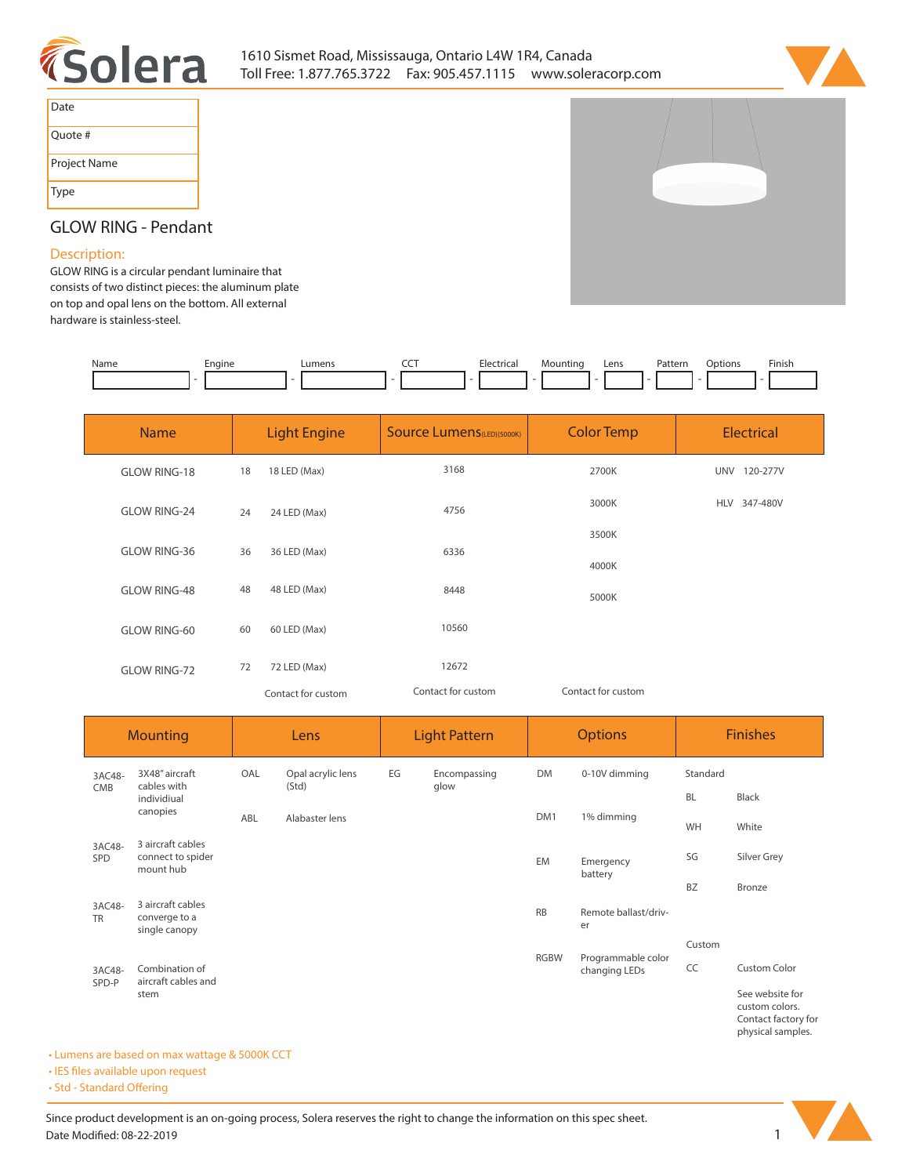



| Date         |
|--------------|
| Quote #      |
| Project Name |
| Type         |

# **GLOW RING - Pendant**

## **Description:**

**GLOW RING is a circular pendant luminaire that consists of two distinct pieces: the aluminum plate on top and opal lens on the bottom. All external hardware is stainless-steel.** 

| Name | Enaine | Lumens | --- | Hectrical | Mountinc | Lens<br>$- - - -$ | Pattern | Options | Finish |
|------|--------|--------|-----|-----------|----------|-------------------|---------|---------|--------|
|      |        |        |     |           |          |                   |         |         |        |

| <b>Name</b>         | <b>Light Engine</b> |                    | <b>Source Lumens (LED)(5000K)</b> | <b>Color Temp</b>  | Electrical             |  |
|---------------------|---------------------|--------------------|-----------------------------------|--------------------|------------------------|--|
| <b>GLOW RING-18</b> | 18                  | 18 LED (Max)       | 3168                              | 2700K              | <b>UNV</b><br>120-277V |  |
| <b>GLOW RING-24</b> | 24                  | 24 LED (Max)       | 4756                              | 3000K              | 347-480V<br><b>HLV</b> |  |
| <b>GLOW RING-36</b> | 36                  | 36 LED (Max)       | 6336                              | 3500K              |                        |  |
|                     |                     |                    |                                   | 4000K              |                        |  |
| <b>GLOW RING-48</b> | 48                  | 48 LED (Max)       | 8448                              | 5000K              |                        |  |
| <b>GLOW RING-60</b> | 60                  | 60 LED (Max)       | 10560                             |                    |                        |  |
| <b>GLOW RING-72</b> | 72                  | 72 LED (Max)       | 12672                             |                    |                        |  |
|                     |                     | Contact for custom | Contact for custom                | Contact for custom |                        |  |

| <b>Mounting</b>         |                                                     | Lens |                            | <b>Light Pattern</b> |                      | <b>Options</b>                    |                                     | <b>Finishes</b> |                                                                               |
|-------------------------|-----------------------------------------------------|------|----------------------------|----------------------|----------------------|-----------------------------------|-------------------------------------|-----------------|-------------------------------------------------------------------------------|
| 3AC48-                  | 3X48" aircraft<br>cables with<br>CMB<br>individiual | OAL  | Opal acrylic lens<br>(Std) | EG                   | Encompassing<br>glow | <b>DM</b>                         | 0-10V dimming                       | Standard        |                                                                               |
|                         |                                                     |      |                            |                      |                      |                                   | <b>BL</b>                           | <b>Black</b>    |                                                                               |
| canopies                |                                                     | ABL  | Alabaster lens             |                      |                      | DM1                               | 1% dimming                          | WH              | White                                                                         |
| 3AC48-<br>SPD           | 3 aircraft cables<br>connect to spider<br>mount hub |      |                            |                      |                      | <b>EM</b><br>Emergency<br>battery |                                     | SG              | Silver Grey                                                                   |
|                         |                                                     |      |                            |                      |                      |                                   |                                     | <b>BZ</b>       | Bronze                                                                        |
| 3AC48-<br><b>TR</b>     | 3 aircraft cables<br>converge to a<br>single canopy |      |                            |                      |                      | <b>RB</b>                         | Remote ballast/driv-<br>er          |                 |                                                                               |
|                         |                                                     |      |                            |                      |                      |                                   |                                     | Custom          |                                                                               |
| 3AC48-<br>SPD-P<br>stem | Combination of<br>aircraft cables and               |      |                            |                      |                      | <b>RGBW</b>                       | Programmable color<br>changing LEDs | CC              | <b>Custom Color</b>                                                           |
|                         |                                                     |      |                            |                      |                      |                                   |                                     |                 | See website for<br>custom colors.<br>Contact factory for<br>physical samples. |

### **• Lumens are based on max wattage & 5000K CCT**

**• IES files available upon request** 

• Std - Standard Offering

Since product development is an on-going process, Solera reserves the right to change the information on this spec sheet. **Date Modified: 08-22-2019** 1